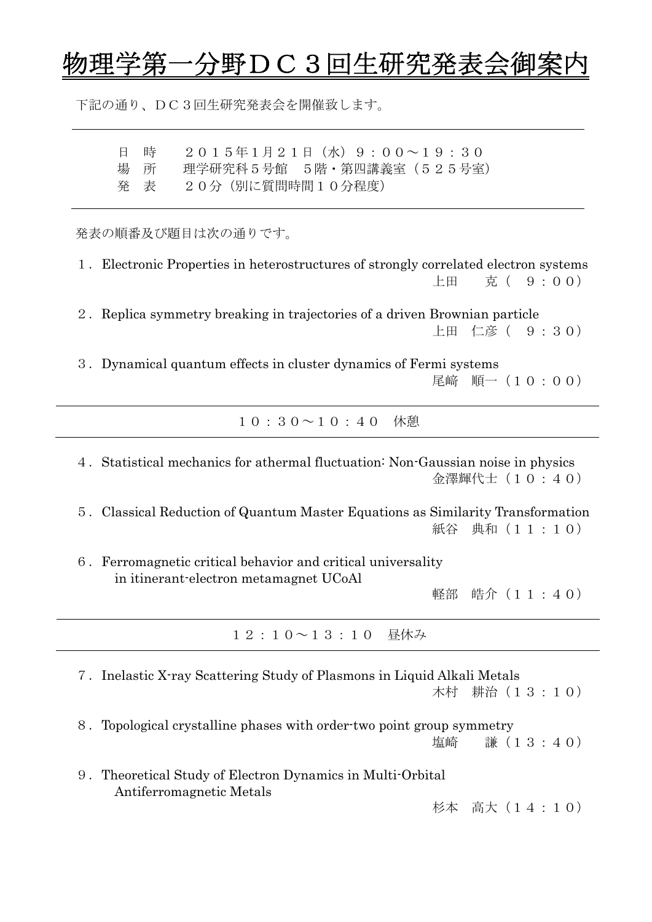## 分野DC3回生研究発表会御

下記の通り、DC3回生研究発表会を開催致します。

日 時 2015年1月21日(水)9:00~19:30 場 所 理学研究科5号館 5階・第四講義室 (525号室) 発 表 20分(別に質問時間10分程度)

発表の順番及び題目は次の通りです。

1.Electronic Properties in heterostructures of strongly correlated electron systems 上田 克( 9:00) 2.Replica symmetry breaking in trajectories of a driven Brownian particle 上田 仁彦( 9:30) 3.Dynamical quantum effects in cluster dynamics of Fermi systems 尾﨑 順一(10:00) 10:30~10:40 休憩 4.Statistical mechanics for athermal fluctuation: Non-Gaussian noise in physics 金澤輝代士(10:40) 5.Classical Reduction of Quantum Master Equations as Similarity Transformation 紙谷 典和(11:10) 6.Ferromagnetic critical behavior and critical universality in itinerant-electron metamagnet UCoAl 軽部 皓介(11:40) 12:10~13:10 昼休み 7.Inelastic X-ray Scattering Study of Plasmons in Liquid Alkali Metals 木村 耕治(13:10) 8.Topological crystalline phases with order-two point group symmetry 塩崎 謙(13:40) 9.Theoretical Study of Electron Dynamics in Multi-Orbital Antiferromagnetic Metals 杉本 高大(14:10)